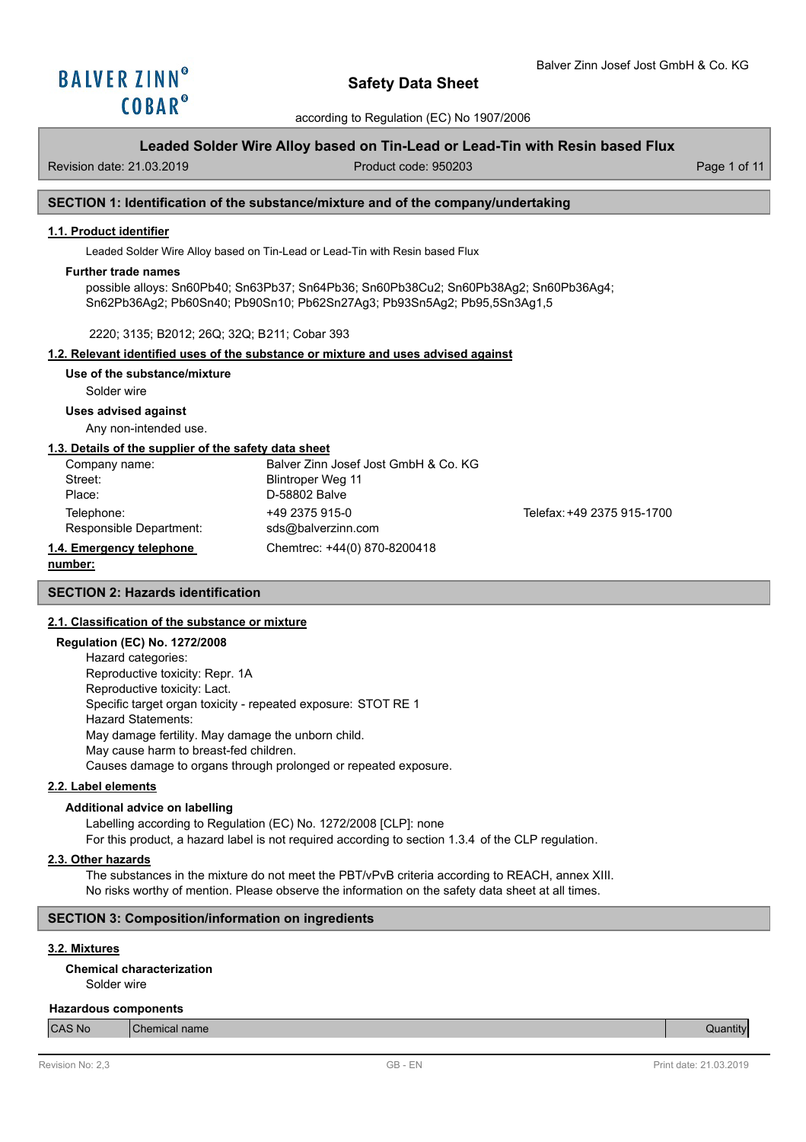

## **Leaded Solder Wire Alloy based on Tin-Lead or Lead-Tin with Resin based Flux**

Revision date: 21.03.2019 Product code: 950203 Page 1 of 11

## **SECTION 1: Identification of the substance/mixture and of the company/undertaking**

### **1.1. Product identifier**

Leaded Solder Wire Alloy based on Tin-Lead or Lead-Tin with Resin based Flux

### **Further trade names**

possible alloys: Sn60Pb40; Sn63Pb37; Sn64Pb36; Sn60Pb38Cu2; Sn60Pb38Ag2; Sn60Pb36Ag4; Sn62Pb36Ag2; Pb60Sn40; Pb90Sn10; Pb62Sn27Ag3; Pb93Sn5Ag2; Pb95,5Sn3Ag1,5

## 2220; 3135; B2012; 26Q; 32Q; B211; Cobar 393

### **1.2. Relevant identified uses of the substance or mixture and uses advised against**

**Use of the substance/mixture**

Solder wire

## **Uses advised against**

Any non-intended use.

### **1.3. Details of the supplier of the safety data sheet**

| Company name:            | Balver Zinn Josef Jost GmbH & Co. KG |                            |
|--------------------------|--------------------------------------|----------------------------|
| Street:                  | Blintroper Weg 11                    |                            |
| Place:                   | D-58802 Balve                        |                            |
| Telephone:               | +49 2375 915-0                       | Telefax: +49 2375 915-1700 |
| Responsible Department:  | sds@balverzinn.com                   |                            |
| 1.4. Emergency telephone | Chemtrec: +44(0) 870-8200418         |                            |
|                          |                                      |                            |

### **number:**

**SECTION 2: Hazards identification**

# **2.1. Classification of the substance or mixture**

## **Regulation (EC) No. 1272/2008**

Hazard categories: Reproductive toxicity: Repr. 1A Reproductive toxicity: Lact. Specific target organ toxicity - repeated exposure: STOT RE 1 Hazard Statements: May damage fertility. May damage the unborn child. May cause harm to breast-fed children. Causes damage to organs through prolonged or repeated exposure.

### **2.2. Label elements**

### **Additional advice on labelling**

Labelling according to Regulation (EC) No. 1272/2008 [CLP]: none For this product, a hazard label is not required according to section 1.3.4 of the CLP regulation.

### **2.3. Other hazards**

The substances in the mixture do not meet the PBT/vPvB criteria according to REACH, annex XIII. No risks worthy of mention. Please observe the information on the safety data sheet at all times.

## **SECTION 3: Composition/information on ingredients**

# **3.2. Mixtures**

Solder wire **Chemical characterization**

### **Hazardous components**

| CAS No | hemical name | ntıt<br>$\sim$ |
|--------|--------------|----------------|
|--------|--------------|----------------|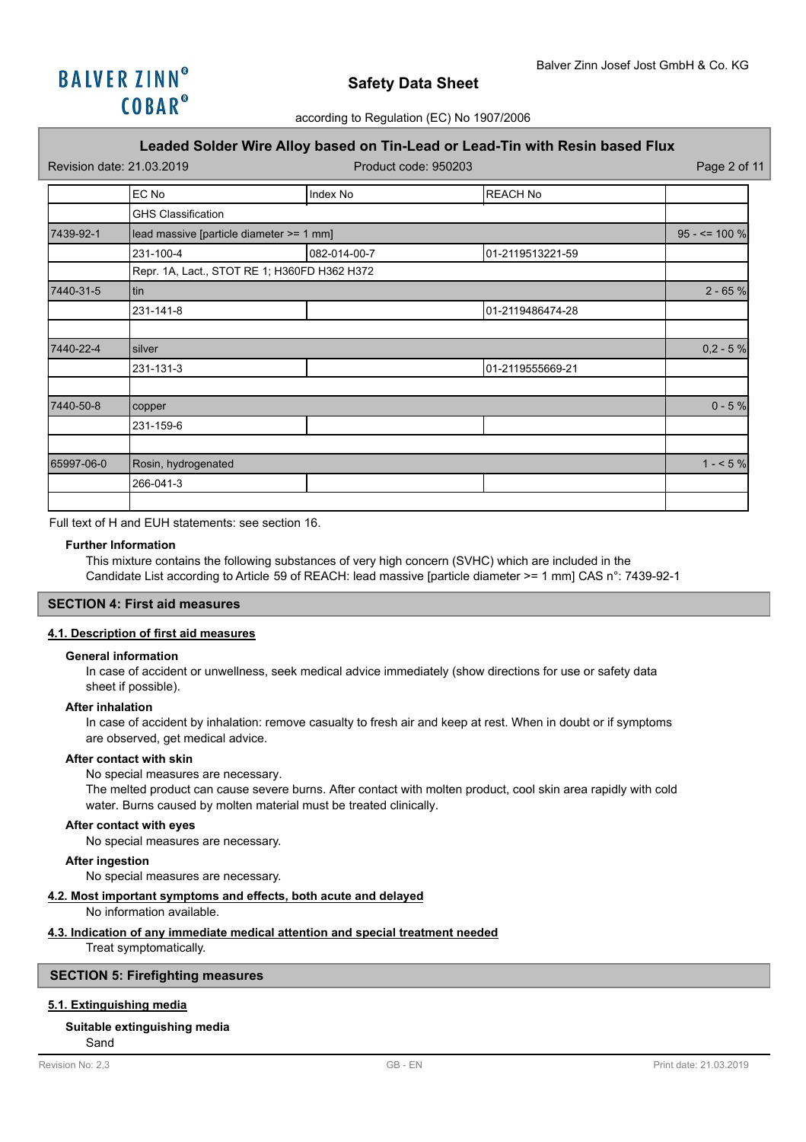

## **Leaded Solder Wire Alloy based on Tin-Lead or Lead-Tin with Resin based Flux**

| Revision date: 21.03.2019 |                                              |              | Product code: 950203 |                  |  |
|---------------------------|----------------------------------------------|--------------|----------------------|------------------|--|
|                           | EC No                                        | Index No     | <b>REACH No</b>      |                  |  |
|                           | <b>GHS Classification</b>                    |              |                      |                  |  |
| 7439-92-1                 | lead massive [particle diameter >= 1 mm]     |              |                      | $95 - 5 = 100 %$ |  |
|                           | 231-100-4                                    | 082-014-00-7 | 01-2119513221-59     |                  |  |
|                           | Repr. 1A, Lact., STOT RE 1; H360FD H362 H372 |              |                      |                  |  |
| 7440-31-5                 | tin                                          | $2 - 65 %$   |                      |                  |  |
|                           | 231-141-8                                    |              | 01-2119486474-28     |                  |  |
|                           |                                              |              |                      |                  |  |
| 7440-22-4                 | silver                                       | $0,2 - 5%$   |                      |                  |  |
|                           | 231-131-3                                    |              | 01-2119555669-21     |                  |  |
|                           |                                              |              |                      |                  |  |
| 7440-50-8                 | copper                                       | $0 - 5 %$    |                      |                  |  |
|                           | 231-159-6                                    |              |                      |                  |  |
|                           |                                              |              |                      |                  |  |
| 65997-06-0                | Rosin, hydrogenated                          |              |                      | $1 - 5%$         |  |
|                           | 266-041-3                                    |              |                      |                  |  |
|                           |                                              |              |                      |                  |  |

Full text of H and EUH statements: see section 16.

### **Further Information**

This mixture contains the following substances of very high concern (SVHC) which are included in the Candidate List according to Article 59 of REACH: lead massive [particle diameter >= 1 mm] CAS n°: 7439-92-1

## **SECTION 4: First aid measures**

## **4.1. Description of first aid measures**

#### **General information**

In case of accident or unwellness, seek medical advice immediately (show directions for use or safety data sheet if possible).

### **After inhalation**

In case of accident by inhalation: remove casualty to fresh air and keep at rest. When in doubt or if symptoms are observed, get medical advice.

### **After contact with skin**

No special measures are necessary.

The melted product can cause severe burns. After contact with molten product, cool skin area rapidly with cold water. Burns caused by molten material must be treated clinically.

## **After contact with eyes**

No special measures are necessary.

### **After ingestion**

No special measures are necessary.

## **4.2. Most important symptoms and effects, both acute and delayed**

No information available.

### **4.3. Indication of any immediate medical attention and special treatment needed**

Treat symptomatically.

## **SECTION 5: Firefighting measures**

## **5.1. Extinguishing media**

Sand

### **Suitable extinguishing media**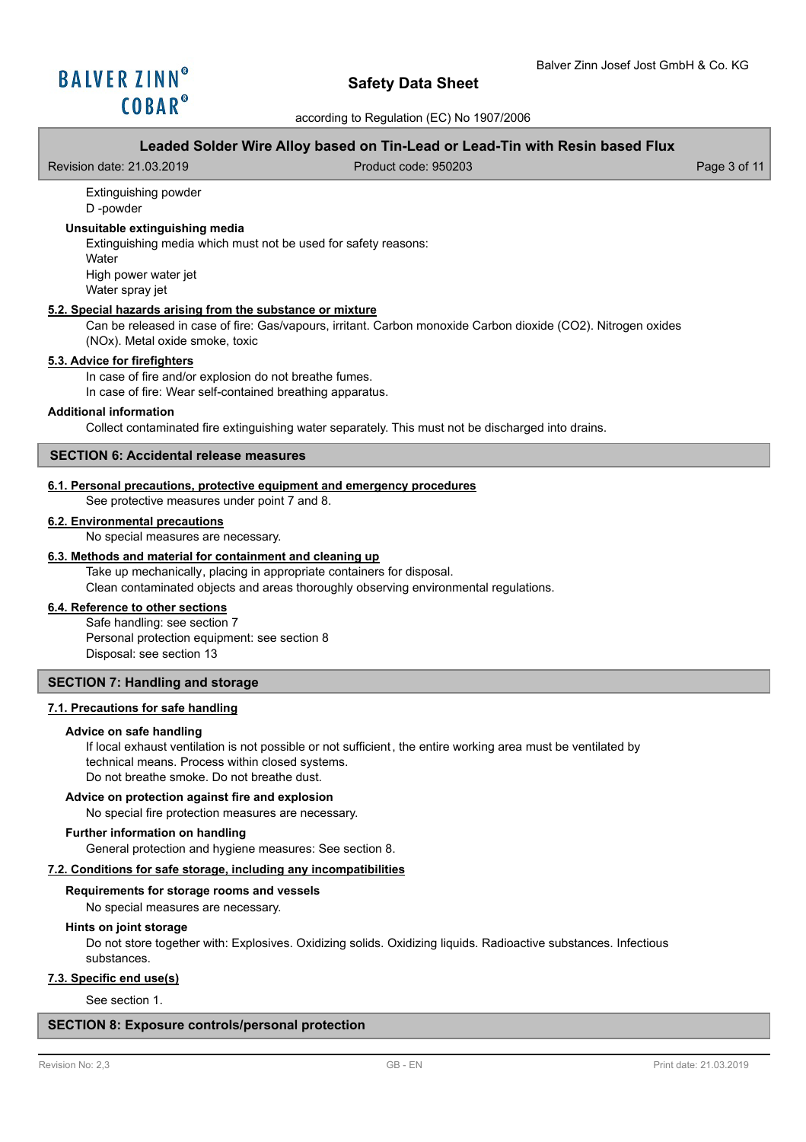according to Regulation (EC) No 1907/2006

## **Leaded Solder Wire Alloy based on Tin-Lead or Lead-Tin with Resin based Flux**

Revision date: 21.03.2019 Product code: 950203 Page 3 of 11

### Extinguishing powder D -powder

## **Unsuitable extinguishing media**

Extinguishing media which must not be used for safety reasons: **Water** 

High power water jet Water spray jet

## **5.2. Special hazards arising from the substance or mixture**

Can be released in case of fire: Gas/vapours, irritant. Carbon monoxide Carbon dioxide (CO2). Nitrogen oxides (NOx). Metal oxide smoke, toxic

## **5.3. Advice for firefighters**

In case of fire and/or explosion do not breathe fumes.

In case of fire: Wear self-contained breathing apparatus.

## **Additional information**

Collect contaminated fire extinguishing water separately. This must not be discharged into drains.

## **SECTION 6: Accidental release measures**

## **6.1. Personal precautions, protective equipment and emergency procedures**

See protective measures under point 7 and 8.

### **6.2. Environmental precautions**

No special measures are necessary.

## **6.3. Methods and material for containment and cleaning up**

Take up mechanically, placing in appropriate containers for disposal. Clean contaminated objects and areas thoroughly observing environmental regulations.

## **6.4. Reference to other sections**

Safe handling: see section 7 Personal protection equipment: see section 8 Disposal: see section 13

## **SECTION 7: Handling and storage**

### **7.1. Precautions for safe handling**

### **Advice on safe handling**

If local exhaust ventilation is not possible or not sufficient, the entire working area must be ventilated by technical means. Process within closed systems. Do not breathe smoke. Do not breathe dust.

### **Advice on protection against fire and explosion**

No special fire protection measures are necessary.

## **Further information on handling**

General protection and hygiene measures: See section 8.

## **7.2. Conditions for safe storage, including any incompatibilities**

### **Requirements for storage rooms and vessels**

No special measures are necessary.

### **Hints on joint storage**

Do not store together with: Explosives. Oxidizing solids. Oxidizing liquids. Radioactive substances. Infectious substances.

### **7.3. Specific end use(s)**

See section 1.

## **SECTION 8: Exposure controls/personal protection**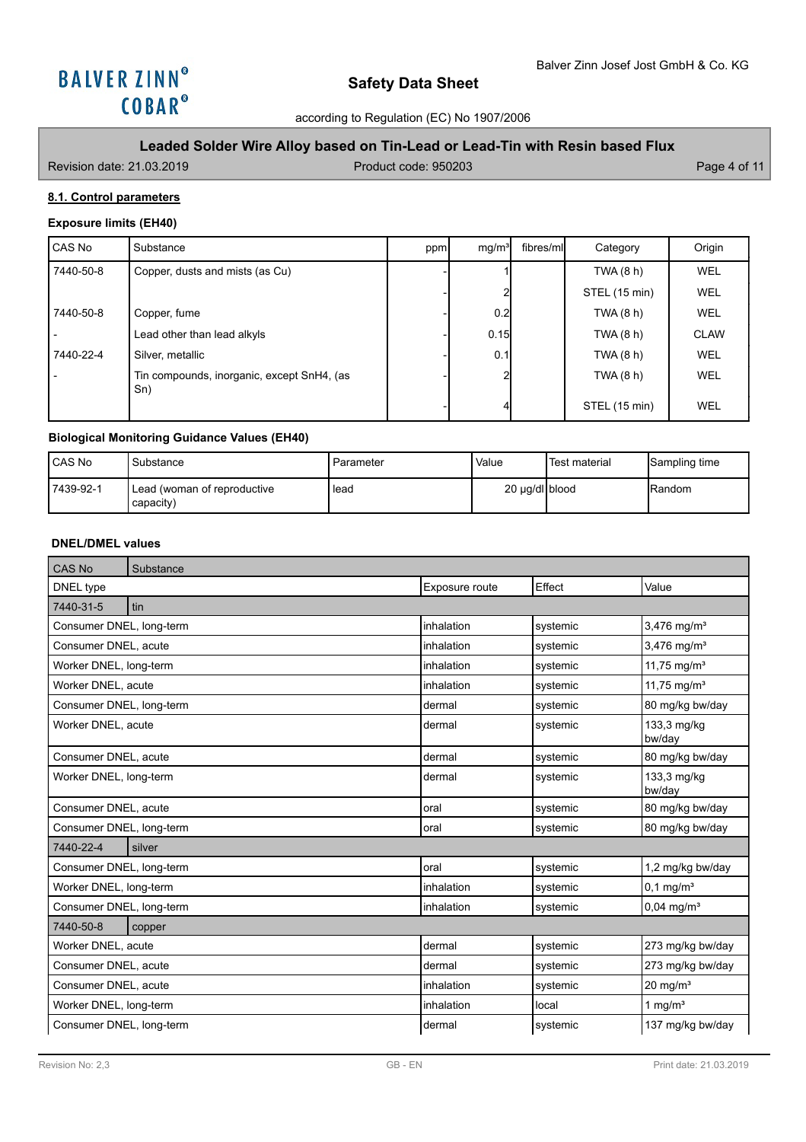

according to Regulation (EC) No 1907/2006

# **Leaded Solder Wire Alloy based on Tin-Lead or Lead-Tin with Resin based Flux**

Revision date: 21.03.2019 **Product code: 950203** Product code: 950203

# **8.1. Control parameters**

## **Exposure limits (EH40)**

| CAS No    | Substance                                         | ppm | mg/m <sup>3</sup> | fibres/ml | Category      | Origin      |
|-----------|---------------------------------------------------|-----|-------------------|-----------|---------------|-------------|
| 7440-50-8 | Copper, dusts and mists (as Cu)                   |     |                   |           | TWA(8 h)      | <b>WEL</b>  |
|           |                                                   |     |                   |           | STEL (15 min) | <b>WEL</b>  |
| 7440-50-8 | Copper, fume                                      |     | 0.2               |           | TWA (8 h)     | WEL         |
|           | Lead other than lead alkyls                       |     | 0.15              |           | TWA (8 h)     | <b>CLAW</b> |
| 7440-22-4 | Silver, metallic                                  |     | 0.1               |           | TWA (8 h)     | WEL         |
|           | Tin compounds, inorganic, except SnH4, (as<br>Sn) |     |                   |           | TWA (8 h)     | WEL         |
|           |                                                   |     |                   |           | STEL (15 min) | <b>WEL</b>  |

# **Biological Monitoring Guidance Values (EH40)**

| <b>ICAS No</b> | Substance                                  | Parameter | Value          | 'Test material | Sampling time  |
|----------------|--------------------------------------------|-----------|----------------|----------------|----------------|
| 7439-92-1      | ' Lead (woman of reproductive<br>capacity) | l lead    | 20 µg/dl blood |                | <b>IRandom</b> |

# **DNEL/DMEL values**

| CAS No                   | Substance |                |          |                           |  |  |
|--------------------------|-----------|----------------|----------|---------------------------|--|--|
| DNEL type                |           | Exposure route | Effect   | Value                     |  |  |
| 7440-31-5                | tin       |                |          |                           |  |  |
| Consumer DNEL, long-term |           | inhalation     | systemic | $3,476$ mg/m <sup>3</sup> |  |  |
| Consumer DNEL, acute     |           | inhalation     | systemic | $3,476$ mg/m <sup>3</sup> |  |  |
| Worker DNEL, long-term   |           | inhalation     | systemic | 11,75 mg/m <sup>3</sup>   |  |  |
| Worker DNEL, acute       |           | inhalation     | systemic | 11,75 mg/m <sup>3</sup>   |  |  |
| Consumer DNEL, long-term |           | dermal         | systemic | 80 mg/kg bw/day           |  |  |
| Worker DNEL, acute       |           | dermal         | systemic | 133,3 mg/kg<br>bw/day     |  |  |
| Consumer DNEL, acute     |           | dermal         | systemic | 80 mg/kg bw/day           |  |  |
| Worker DNEL, long-term   |           | dermal         | systemic | 133,3 mg/kg<br>bw/day     |  |  |
| Consumer DNEL, acute     |           | oral           | systemic | 80 mg/kg bw/day           |  |  |
| Consumer DNEL, long-term |           | oral           | systemic | 80 mg/kg bw/day           |  |  |
| 7440-22-4                | silver    |                |          |                           |  |  |
| Consumer DNEL, long-term |           | oral           | systemic | 1,2 mg/kg bw/day          |  |  |
| Worker DNEL, long-term   |           | inhalation     | systemic | $0,1$ mg/m <sup>3</sup>   |  |  |
| Consumer DNEL, long-term |           | inhalation     | systemic | $0,04$ mg/m <sup>3</sup>  |  |  |
| 7440-50-8                | copper    |                |          |                           |  |  |
| Worker DNEL, acute       |           | dermal         | systemic | 273 mg/kg bw/day          |  |  |
| Consumer DNEL, acute     |           | dermal         | systemic | 273 mg/kg bw/day          |  |  |
| Consumer DNEL, acute     |           | inhalation     | systemic | $20$ mg/m <sup>3</sup>    |  |  |
| Worker DNEL, long-term   |           | inhalation     | local    | 1 mg/ $m3$                |  |  |
| Consumer DNEL, long-term |           | dermal         | systemic | 137 mg/kg bw/day          |  |  |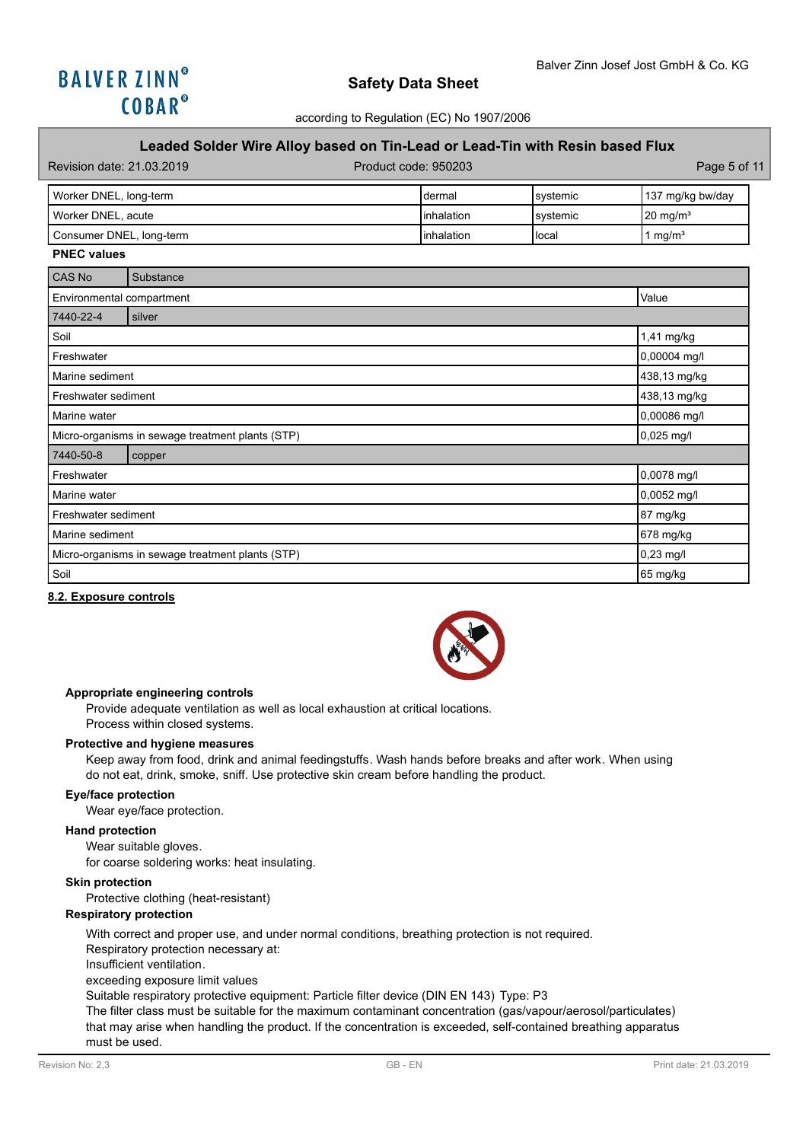

# **Leaded Solder Wire Alloy based on Tin-Lead or Lead-Tin with Resin based Flux**

| Revision date: 21.03.2019 | Product code: 950203 |           | Page 5 of 11        |
|---------------------------|----------------------|-----------|---------------------|
| Worker DNEL, long-term    | Idermal              | Isystemic | 137 mg/kg bw/day    |
| Worker DNEL, acute        | <b>linhalation</b>   | Isvstemic | $20 \text{ mg/m}^3$ |
| Consumer DNEL, long-term  | linhalation          | Hocal     | 1 ma/m <sup>3</sup> |

#### **PNEC values**

| CAS No                                           | Substance                                        |              |  |  |  |  |
|--------------------------------------------------|--------------------------------------------------|--------------|--|--|--|--|
|                                                  | Value<br>Environmental compartment               |              |  |  |  |  |
| 7440-22-4                                        | silver                                           |              |  |  |  |  |
| Soil                                             |                                                  | 1,41 mg/kg   |  |  |  |  |
| Freshwater                                       |                                                  | 0,00004 mg/l |  |  |  |  |
| Marine sediment                                  |                                                  | 438,13 mg/kg |  |  |  |  |
| Freshwater sediment                              | 438,13 mg/kg                                     |              |  |  |  |  |
| Marine water                                     | 0,00086 mg/l                                     |              |  |  |  |  |
|                                                  | Micro-organisms in sewage treatment plants (STP) | $0,025$ mg/l |  |  |  |  |
| 7440-50-8                                        | copper                                           |              |  |  |  |  |
| Freshwater                                       |                                                  | 0,0078 mg/l  |  |  |  |  |
| Marine water                                     |                                                  | 0,0052 mg/l  |  |  |  |  |
| Freshwater sediment                              | 87 mg/kg                                         |              |  |  |  |  |
| Marine sediment                                  | 678 mg/kg                                        |              |  |  |  |  |
| Micro-organisms in sewage treatment plants (STP) | $0,23$ mg/l                                      |              |  |  |  |  |
| Soil                                             |                                                  | 65 mg/kg     |  |  |  |  |

#### **8.2. Exposure controls**



### **Appropriate engineering controls**

Provide adequate ventilation as well as local exhaustion at critical locations. Process within closed systems.

### **Protective and hygiene measures**

Keep away from food, drink and animal feedingstuffs. Wash hands before breaks and after work. When using do not eat, drink, smoke, sniff. Use protective skin cream before handling the product.

## **Eye/face protection**

Wear eye/face protection.

## **Hand protection**

Wear suitable gloves.

for coarse soldering works: heat insulating.

### **Skin protection**

Protective clothing (heat-resistant)

## **Respiratory protection**

With correct and proper use, and under normal conditions, breathing protection is not required.

Respiratory protection necessary at:

Insufficient ventilation.

### exceeding exposure limit values

Suitable respiratory protective equipment: Particle filter device (DIN EN 143) Type: P3

The filter class must be suitable for the maximum contaminant concentration (gas/vapour/aerosol/particulates) that may arise when handling the product. If the concentration is exceeded, self-contained breathing apparatus must be used.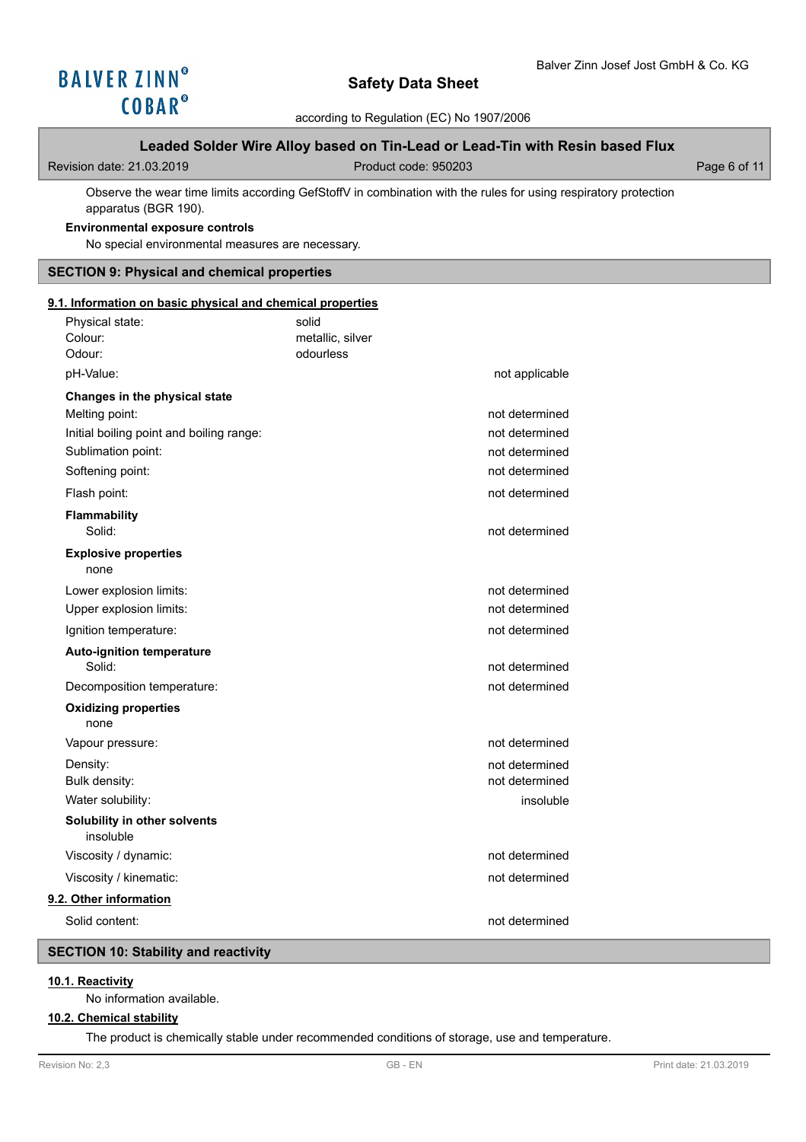

according to Regulation (EC) No 1907/2006

## **Leaded Solder Wire Alloy based on Tin-Lead or Lead-Tin with Resin based Flux**

Revision date: 21.03.2019 Product code: 950203 Page 6 of 11

Observe the wear time limits according GefStoffV in combination with the rules for using respiratory protection apparatus (BGR 190).

### **Environmental exposure controls**

No special environmental measures are necessary.

## **SECTION 9: Physical and chemical properties**

## **9.1. Information on basic physical and chemical properties**

| Physical state:<br>Colour:<br>Odour:       | solid<br>metallic, silver<br>odourless |                |
|--------------------------------------------|----------------------------------------|----------------|
| pH-Value:                                  |                                        | not applicable |
| Changes in the physical state              |                                        |                |
| Melting point:                             |                                        | not determined |
| Initial boiling point and boiling range:   |                                        | not determined |
| Sublimation point:                         |                                        | not determined |
| Softening point:                           |                                        | not determined |
| Flash point:                               |                                        | not determined |
| Flammability<br>Solid:                     |                                        | not determined |
| <b>Explosive properties</b><br>none        |                                        |                |
| Lower explosion limits:                    |                                        | not determined |
| Upper explosion limits:                    |                                        | not determined |
| Ignition temperature:                      |                                        | not determined |
| <b>Auto-ignition temperature</b><br>Solid: |                                        | not determined |
| Decomposition temperature:                 |                                        | not determined |
| <b>Oxidizing properties</b><br>none        |                                        |                |
| Vapour pressure:                           |                                        | not determined |
| Density:                                   |                                        | not determined |
| Bulk density:                              |                                        | not determined |
| Water solubility:                          |                                        | insoluble      |
| Solubility in other solvents<br>insoluble  |                                        |                |
| Viscosity / dynamic:                       |                                        | not determined |
| Viscosity / kinematic:                     |                                        | not determined |
| 9.2. Other information                     |                                        |                |
| Solid content:                             |                                        | not determined |

# **SECTION 10: Stability and reactivity**

# **10.1. Reactivity**

No information available.

# **10.2. Chemical stability**

The product is chemically stable under recommended conditions of storage, use and temperature.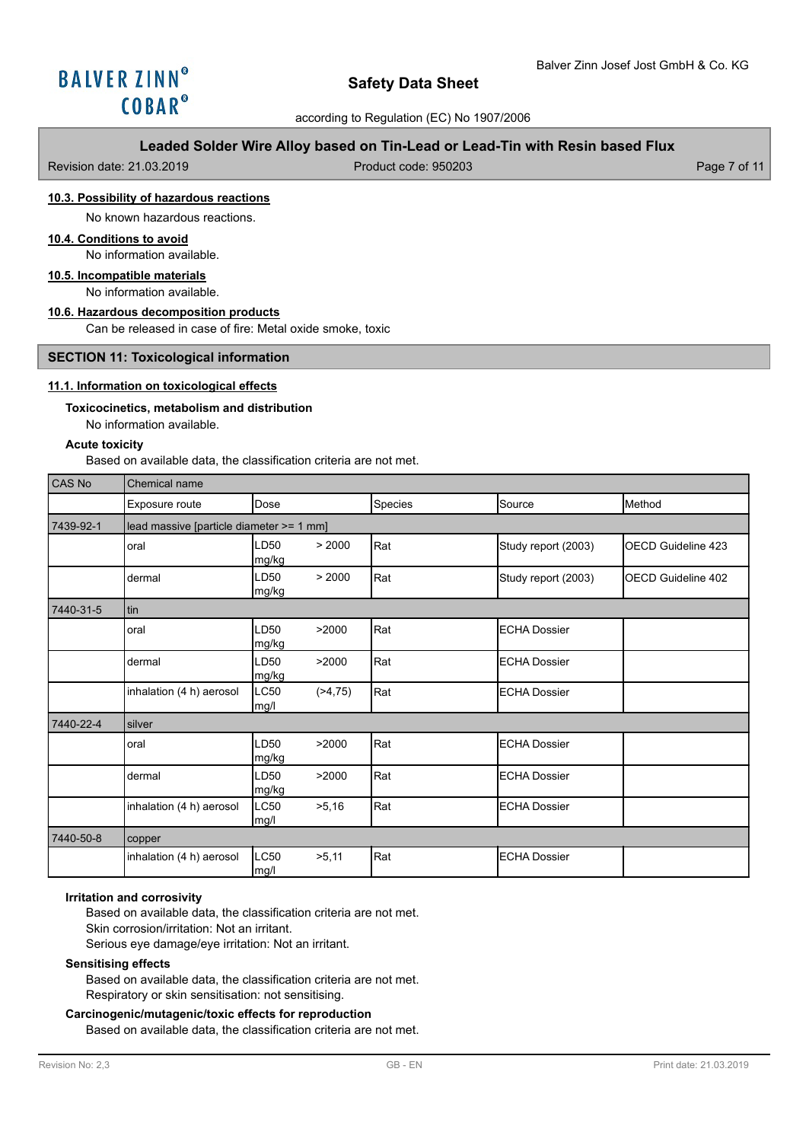### according to Regulation (EC) No 1907/2006

# **Leaded Solder Wire Alloy based on Tin-Lead or Lead-Tin with Resin based Flux**

| Revision date: 21.03.2019 |  |  |  |  |  |
|---------------------------|--|--|--|--|--|
|---------------------------|--|--|--|--|--|

Product code: 950203 Product code: 950203

# **10.3. Possibility of hazardous reactions**

No known hazardous reactions.

# **10.4. Conditions to avoid**

No information available.

## **10.5. Incompatible materials**

No information available.

### **10.6. Hazardous decomposition products**

Can be released in case of fire: Metal oxide smoke, toxic

### **SECTION 11: Toxicological information**

## **11.1. Information on toxicological effects**

#### **Toxicocinetics, metabolism and distribution**

No information available.

#### **Acute toxicity**

Based on available data, the classification criteria are not met.

| CAS No    | <b>Chemical name</b>                     |               |            |         |                      |                             |
|-----------|------------------------------------------|---------------|------------|---------|----------------------|-----------------------------|
|           | Exposure route                           | Dose          |            | Species | Source               | Method                      |
| 7439-92-1 | lead massive [particle diameter >= 1 mm] |               |            |         |                      |                             |
|           | oral                                     | LD50<br>mg/kg | > 2000     | Rat     | Study report (2003)  | <b>I</b> OECD Guideline 423 |
|           | dermal                                   | LD50<br>mg/kg | > 2000     | Rat     | Study report (2003)  | OECD Guideline 402          |
| 7440-31-5 | tin                                      |               |            |         |                      |                             |
|           | oral                                     | LD50<br>mg/kg | >2000      | Rat     | <b>IECHA Dossier</b> |                             |
|           | dermal                                   | LD50<br>mg/kg | >2000      | Rat     | <b>IECHA Dossier</b> |                             |
|           | inhalation (4 h) aerosol                 | LC50<br>mg/l  | ( > 4, 75) | Rat     | <b>IECHA Dossier</b> |                             |
| 7440-22-4 | silver                                   |               |            |         |                      |                             |
|           | oral                                     | LD50<br>mg/kg | >2000      | Rat     | <b>ECHA Dossier</b>  |                             |
|           | dermal                                   | LD50<br>mg/kg | >2000      | Rat     | <b>IECHA Dossier</b> |                             |
|           | inhalation (4 h) aerosol                 | LC50<br>mg/l  | >5,16      | Rat     | <b>IECHA Dossier</b> |                             |
| 7440-50-8 | copper                                   |               |            |         |                      |                             |
|           | inhalation (4 h) aerosol                 | LC50<br>mg/l  | >5,11      | Rat     | <b>ECHA Dossier</b>  |                             |

### **Irritation and corrosivity**

Based on available data, the classification criteria are not met. Skin corrosion/irritation: Not an irritant. Serious eye damage/eye irritation: Not an irritant.

### **Sensitising effects**

Based on available data, the classification criteria are not met. Respiratory or skin sensitisation: not sensitising.

## **Carcinogenic/mutagenic/toxic effects for reproduction**

Based on available data, the classification criteria are not met.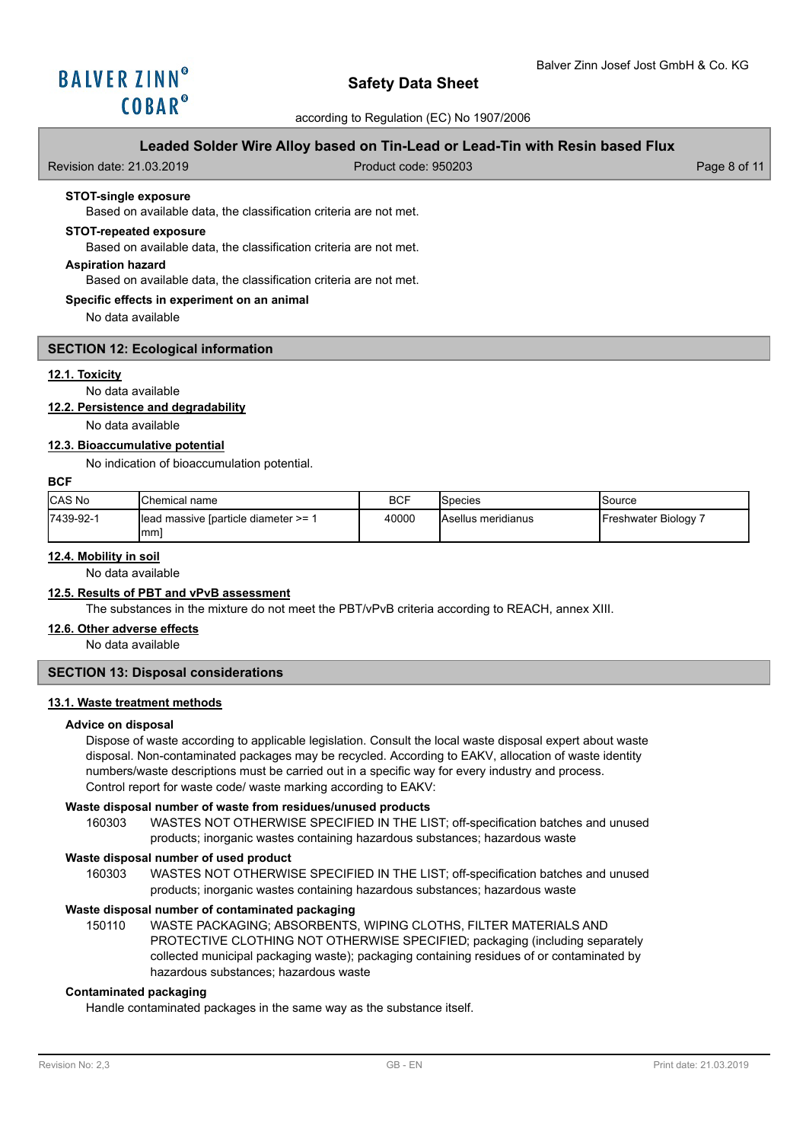

according to Regulation (EC) No 1907/2006

## **Leaded Solder Wire Alloy based on Tin-Lead or Lead-Tin with Resin based Flux**

| Revision date: 21.03.2019 | Product code: 950203 | Page 8 of 11 |
|---------------------------|----------------------|--------------|
|                           |                      |              |

### **STOT-single exposure**

Based on available data, the classification criteria are not met.

## **STOT-repeated exposure**

Based on available data, the classification criteria are not met.

### **Aspiration hazard**

Based on available data, the classification criteria are not met.

#### **Specific effects in experiment on an animal**

No data available

### **SECTION 12: Ecological information**

#### **12.1. Toxicity**

## No data available

## **12.2. Persistence and degradability**

No data available

#### **12.3. Bioaccumulative potential**

No indication of bioaccumulation potential.

### **BCF**

| <b>CAS No</b> | <b>I</b> Chemical name                                  | <b>BCF</b> | lSpecies                   | Source             |
|---------------|---------------------------------------------------------|------------|----------------------------|--------------------|
| 17439-92-1    | <b>I</b> lead massive [particle diameter $>= 1$<br>Imml | 40000      | <b>IAsellus meridianus</b> | Freshwater Biology |

## **12.4. Mobility in soil**

No data available

## **12.5. Results of PBT and vPvB assessment**

The substances in the mixture do not meet the PBT/vPvB criteria according to REACH, annex XIII.

#### **12.6. Other adverse effects**

No data available

# **SECTION 13: Disposal considerations**

### **13.1. Waste treatment methods**

#### **Advice on disposal**

Dispose of waste according to applicable legislation. Consult the local waste disposal expert about waste disposal. Non-contaminated packages may be recycled. According to EAKV, allocation of waste identity numbers/waste descriptions must be carried out in a specific way for every industry and process. Control report for waste code/ waste marking according to EAKV:

### **Waste disposal number of waste from residues/unused products**

160303 WASTES NOT OTHERWISE SPECIFIED IN THE LIST; off-specification batches and unused products; inorganic wastes containing hazardous substances; hazardous waste

#### **Waste disposal number of used product**

WASTES NOT OTHERWISE SPECIFIED IN THE LIST; off-specification batches and unused products; inorganic wastes containing hazardous substances; hazardous waste 160303

### **Waste disposal number of contaminated packaging**

WASTE PACKAGING; ABSORBENTS, WIPING CLOTHS, FILTER MATERIALS AND PROTECTIVE CLOTHING NOT OTHERWISE SPECIFIED; packaging (including separately collected municipal packaging waste); packaging containing residues of or contaminated by hazardous substances; hazardous waste 150110

### **Contaminated packaging**

Handle contaminated packages in the same way as the substance itself.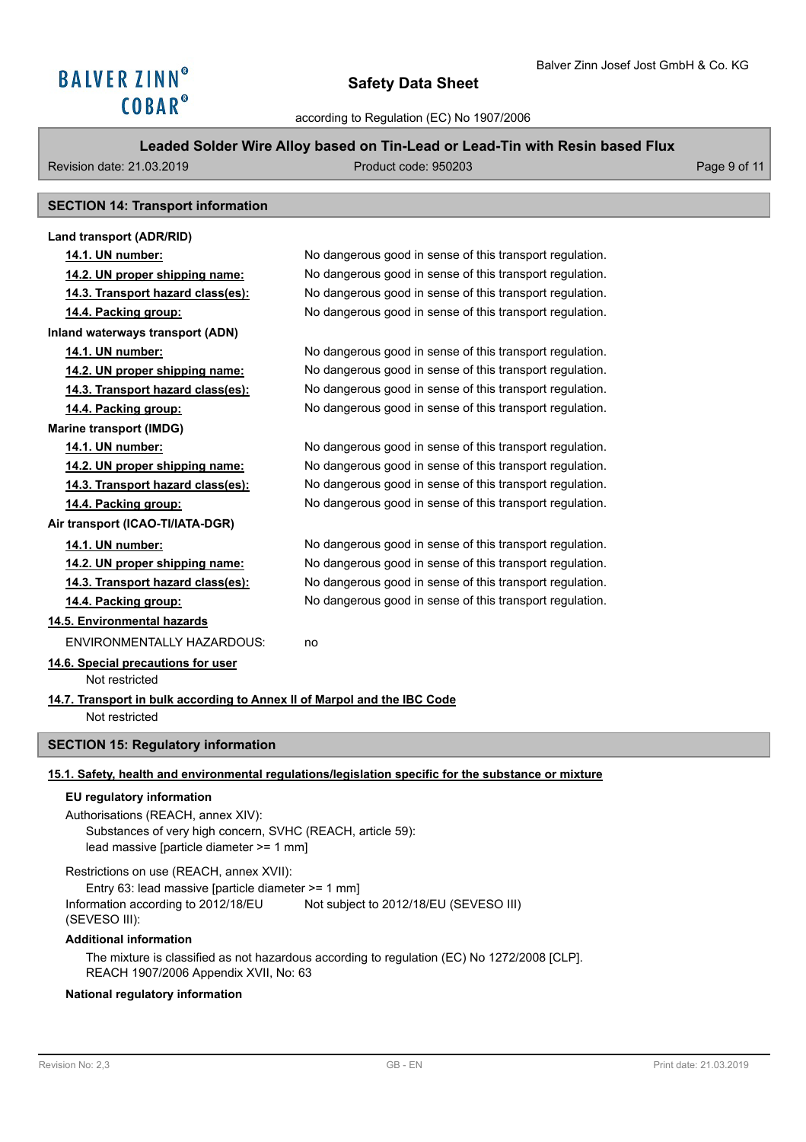# **Leaded Solder Wire Alloy based on Tin-Lead or Lead-Tin with Resin based Flux**

Revision date: 21.03.2019 **Product code: 950203** Page 9 of 11

# **SECTION 14: Transport information**

| Land transport (ADR/RID)                                                                   |                                                          |  |  |  |
|--------------------------------------------------------------------------------------------|----------------------------------------------------------|--|--|--|
| <u>14.1. UN number:</u>                                                                    | No dangerous good in sense of this transport regulation. |  |  |  |
| 14.2. UN proper shipping name:                                                             | No dangerous good in sense of this transport regulation. |  |  |  |
| 14.3. Transport hazard class(es):                                                          | No dangerous good in sense of this transport regulation. |  |  |  |
| 14.4. Packing group:                                                                       | No dangerous good in sense of this transport regulation. |  |  |  |
| Inland waterways transport (ADN)                                                           |                                                          |  |  |  |
| 14.1. UN number:                                                                           | No dangerous good in sense of this transport regulation. |  |  |  |
| 14.2. UN proper shipping name:                                                             | No dangerous good in sense of this transport regulation. |  |  |  |
| 14.3. Transport hazard class(es):                                                          | No dangerous good in sense of this transport regulation. |  |  |  |
| 14.4. Packing group:                                                                       | No dangerous good in sense of this transport regulation. |  |  |  |
| <b>Marine transport (IMDG)</b>                                                             |                                                          |  |  |  |
| 14.1. UN number:                                                                           | No dangerous good in sense of this transport regulation. |  |  |  |
| 14.2. UN proper shipping name:                                                             | No dangerous good in sense of this transport regulation. |  |  |  |
| 14.3. Transport hazard class(es):                                                          | No dangerous good in sense of this transport regulation. |  |  |  |
| 14.4. Packing group:                                                                       | No dangerous good in sense of this transport regulation. |  |  |  |
| Air transport (ICAO-TI/IATA-DGR)                                                           |                                                          |  |  |  |
| 14.1. UN number:                                                                           | No dangerous good in sense of this transport regulation. |  |  |  |
| 14.2. UN proper shipping name:                                                             | No dangerous good in sense of this transport regulation. |  |  |  |
| 14.3. Transport hazard class(es):                                                          | No dangerous good in sense of this transport regulation. |  |  |  |
| 14.4. Packing group:                                                                       | No dangerous good in sense of this transport regulation. |  |  |  |
| 14.5. Environmental hazards                                                                |                                                          |  |  |  |
| <b>ENVIRONMENTALLY HAZARDOUS:</b>                                                          | no                                                       |  |  |  |
| 14.6. Special precautions for user<br>Not restricted                                       |                                                          |  |  |  |
| 14.7. Transport in bulk according to Annex II of Marpol and the IBC Code<br>Not restricted |                                                          |  |  |  |
| <b>SECTION 15: Regulatory information</b>                                                  |                                                          |  |  |  |

## **15.1. Safety, health and environmental regulations/legislation specific for the substance or mixture**

### **EU regulatory information**

Authorisations (REACH, annex XIV): Substances of very high concern, SVHC (REACH, article 59): lead massive [particle diameter >= 1 mm]

Restrictions on use (REACH, annex XVII): Entry 63: lead massive [particle diameter >= 1 mm] Information according to 2012/18/EU (SEVESO III): Not subject to 2012/18/EU (SEVESO III)

### **Additional information**

The mixture is classified as not hazardous according to regulation (EC) No 1272/2008 [CLP]. REACH 1907/2006 Appendix XVII, No: 63

## **National regulatory information**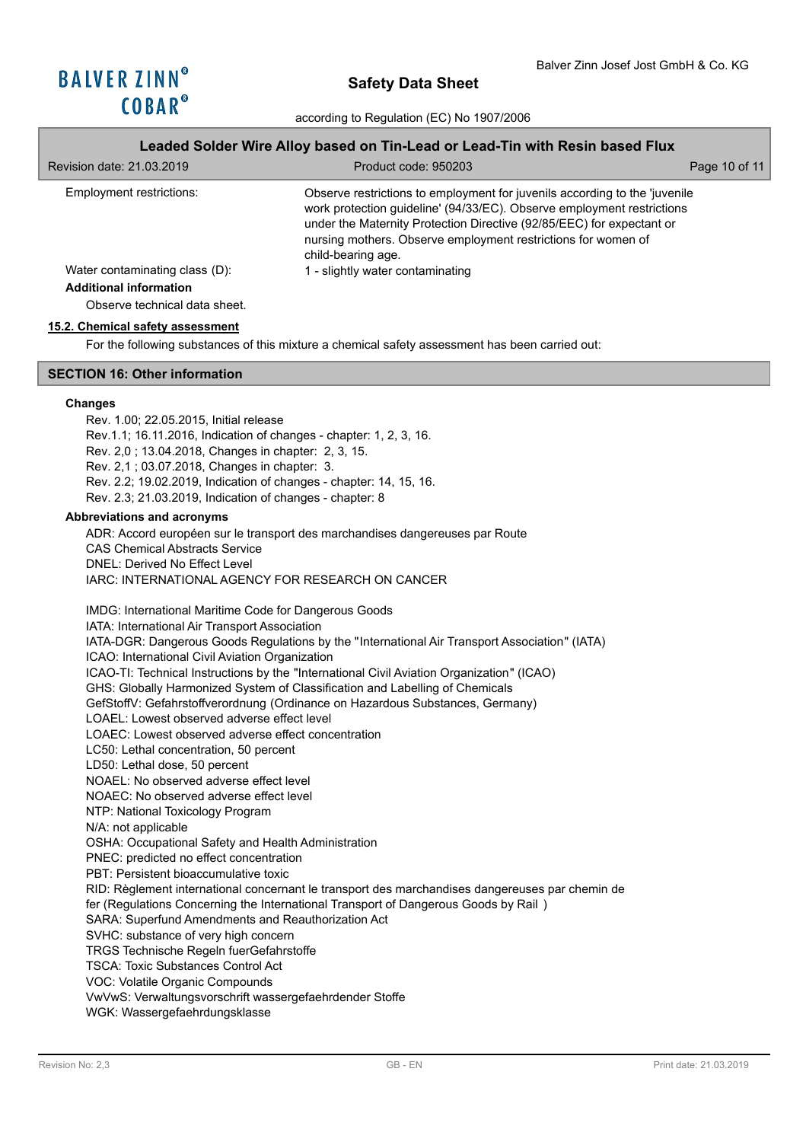## **Leaded Solder Wire Alloy based on Tin-Lead or Lead-Tin with Resin based Flux**

| Revision date: 21,03,2019                                                                        | Product code: 950203                                                                                                                                                                                                                                                                                                 | Page 10 of 11 |
|--------------------------------------------------------------------------------------------------|----------------------------------------------------------------------------------------------------------------------------------------------------------------------------------------------------------------------------------------------------------------------------------------------------------------------|---------------|
| Employment restrictions:                                                                         | Observe restrictions to employment for juvenils according to the 'juvenile<br>work protection guideline' (94/33/EC). Observe employment restrictions<br>under the Maternity Protection Directive (92/85/EEC) for expectant or<br>nursing mothers. Observe employment restrictions for women of<br>child-bearing age. |               |
| Water contaminating class (D):<br><b>Additional information</b><br>Observe technical data sheet. | 1 - slightly water contaminating                                                                                                                                                                                                                                                                                     |               |

#### **15.2. Chemical safety assessment**

For the following substances of this mixture a chemical safety assessment has been carried out:

## **SECTION 16: Other information**

#### **Changes**

Rev. 1.00; 22.05.2015, Initial release Rev.1.1; 16.11.2016, Indication of changes - chapter: 1, 2, 3, 16. Rev. 2,0 ; 13.04.2018, Changes in chapter: 2, 3, 15. Rev. 2,1 ; 03.07.2018, Changes in chapter: 3. Rev. 2.2; 19.02.2019, Indication of changes - chapter: 14, 15, 16. Rev. 2.3; 21.03.2019, Indication of changes - chapter: 8

#### **Abbreviations and acronyms**

ADR: Accord européen sur le transport des marchandises dangereuses par Route CAS Chemical Abstracts Service DNEL: Derived No Effect Level IARC: INTERNATIONAL AGENCY FOR RESEARCH ON CANCER

IMDG: International Maritime Code for Dangerous Goods IATA: International Air Transport Association IATA-DGR: Dangerous Goods Regulations by the "International Air Transport Association" (IATA) ICAO: International Civil Aviation Organization ICAO-TI: Technical Instructions by the "International Civil Aviation Organization" (ICAO) GHS: Globally Harmonized System of Classification and Labelling of Chemicals GefStoffV: Gefahrstoffverordnung (Ordinance on Hazardous Substances, Germany) LOAEL: Lowest observed adverse effect level LOAEC: Lowest observed adverse effect concentration LC50: Lethal concentration, 50 percent LD50: Lethal dose, 50 percent NOAEL: No observed adverse effect level NOAEC: No observed adverse effect level NTP: National Toxicology Program N/A: not applicable OSHA: Occupational Safety and Health Administration PNEC: predicted no effect concentration PBT: Persistent bioaccumulative toxic RID: Règlement international concernant le transport des marchandises dangereuses par chemin de fer (Regulations Concerning the International Transport of Dangerous Goods by Rail ) SARA: Superfund Amendments and Reauthorization Act SVHC: substance of very high concern TRGS Technische Regeln fuerGefahrstoffe TSCA: Toxic Substances Control Act VOC: Volatile Organic Compounds VwVwS: Verwaltungsvorschrift wassergefaehrdender Stoffe

WGK: Wassergefaehrdungsklasse